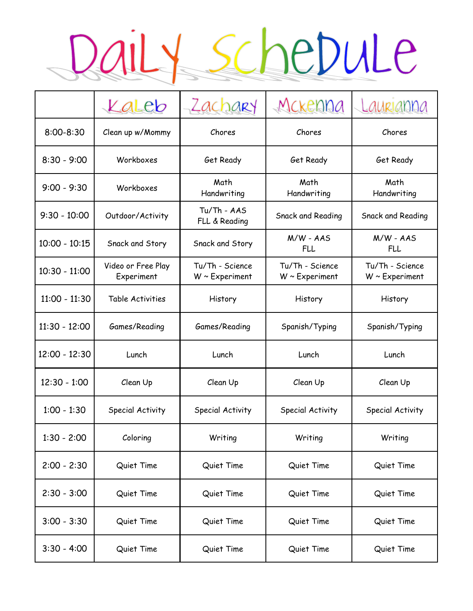## Daily schedule

|                 | KaLeb                            | Zachary                                | Mckenna                                | Laurianna                              |
|-----------------|----------------------------------|----------------------------------------|----------------------------------------|----------------------------------------|
| $8:00 - 8:30$   | Clean up w/Mommy                 | Chores                                 | Chores                                 | Chores                                 |
| $8:30 - 9:00$   | Workboxes                        | Get Ready                              | Get Ready                              | Get Ready                              |
| $9:00 - 9:30$   | Workboxes                        | Math<br>Handwriting                    | Math<br>Handwriting                    | Math<br>Handwriting                    |
| $9:30 - 10:00$  | Outdoor/Activity                 | Tu/Th - AAS<br>FLL & Reading           | Snack and Reading                      | Snack and Reading                      |
| $10:00 - 10:15$ | Snack and Story                  | Snack and Story                        | $M/W - AAS$<br><b>FLL</b>              | $M/W - AAS$<br><b>FLL</b>              |
| $10:30 - 11:00$ | Video or Free Play<br>Experiment | Tu/Th - Science<br>$W \sim$ Experiment | Tu/Th - Science<br>$W \sim$ Experiment | Tu/Th - Science<br>$W \sim$ Experiment |
| $11:00 - 11:30$ | <b>Table Activities</b>          | History                                | History                                | History                                |
| $11:30 - 12:00$ | Games/Reading                    | Games/Reading                          | Spanish/Typing                         | Spanish/Typing                         |
| $12:00 - 12:30$ | Lunch                            | Lunch                                  | Lunch                                  | Lunch                                  |
| $12:30 - 1:00$  | Clean Up                         | Clean Up                               | Clean Up                               | Clean Up                               |
| $1:00 - 1:30$   | Special Activity                 | Special Activity                       | Special Activity                       | Special Activity                       |
| $1:30 - 2:00$   | Coloring                         | Writing                                | Writing                                | Writing                                |
| $2:00 - 2:30$   | Quiet Time                       | Quiet Time                             | Quiet Time                             | Quiet Time                             |
| $2:30 - 3:00$   | Quiet Time                       | Quiet Time                             | Quiet Time                             | Quiet Time                             |
| $3:00 - 3:30$   | Quiet Time                       | Quiet Time                             | Quiet Time                             | Quiet Time                             |
| $3:30 - 4:00$   | Quiet Time                       | Quiet Time                             | Quiet Time                             | Quiet Time                             |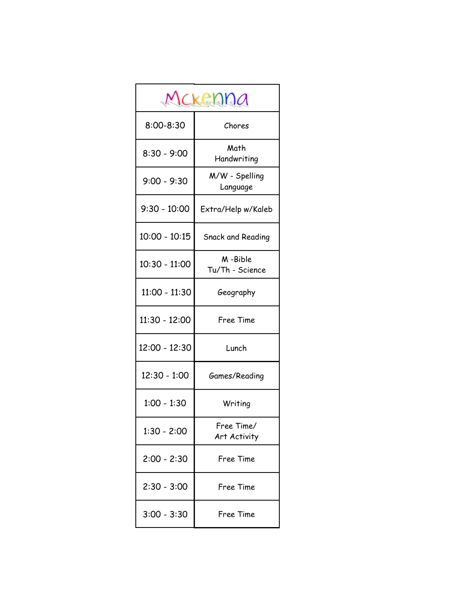| Mckenna         |                            |  |  |  |
|-----------------|----------------------------|--|--|--|
| $8:00 - 8:30$   | Chores                     |  |  |  |
| $8:30 - 9:00$   | Math<br>Handwriting        |  |  |  |
| $9:00 - 9:30$   | M/W - Spelling<br>Language |  |  |  |
| $9:30 - 10:00$  | Extra/Help w/Kaleb         |  |  |  |
| $10:00 - 10:15$ | Snack and Reading          |  |  |  |
| 10:30 - 11:00   | M-Bible<br>Tu/Th - Science |  |  |  |
| $11:00 - 11:30$ | Geography                  |  |  |  |
| 11:30 - 12:00   | Free Time                  |  |  |  |
| 12:00 - 12:30   | Lunch                      |  |  |  |
| $12:30 - 1:00$  | Games/Reading              |  |  |  |
| $1:00 - 1:30$   | Writing                    |  |  |  |
| $1:30 - 2:00$   | Free Time/<br>Art Activity |  |  |  |
| $2:00 - 2:30$   | Free Time                  |  |  |  |
| $2:30 - 3:00$   | Free Time                  |  |  |  |
| $3:00 - 3:30$   | Free Time                  |  |  |  |